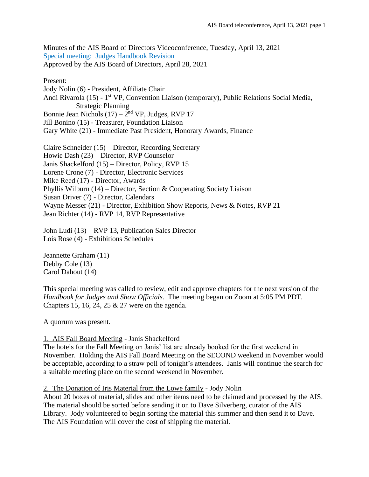Minutes of the AIS Board of Directors Videoconference, Tuesday, April 13, 2021 Special meeting: Judges Handbook Revision Approved by the AIS Board of Directors, April 28, 2021

# Present:

Jody Nolin (6) - President, Affiliate Chair Andi Rivarola (15) - 1<sup>st</sup> VP, Convention Liaison (temporary), Public Relations Social Media, Strategic Planning Bonnie Jean Nichols  $(17) - 2<sup>nd</sup> VP$ , Judges, RVP 17 Jill Bonino (15) - Treasurer, Foundation Liaison Gary White (21) - Immediate Past President, Honorary Awards, Finance

Claire Schneider (15) – Director, Recording Secretary Howie Dash (23) – Director, RVP Counselor Janis Shackelford (15) – Director, Policy, RVP 15 Lorene Crone (7) - Director, Electronic Services Mike Reed (17) - Director, Awards Phyllis Wilburn (14) – Director, Section & Cooperating Society Liaison Susan Driver (7) - Director, Calendars Wayne Messer (21) - Director, Exhibition Show Reports, News & Notes, RVP 21 Jean Richter (14) - RVP 14, RVP Representative

John Ludi (13) – RVP 13, Publication Sales Director Lois Rose (4) - Exhibitions Schedules

Jeannette Graham (11) Debby Cole (13) Carol Dahout (14)

This special meeting was called to review, edit and approve chapters for the next version of the *Handbook for Judges and Show Officials.* The meeting began on Zoom at 5:05 PM PDT. Chapters 15, 16, 24, 25 & 27 were on the agenda.

A quorum was present.

## 1. AIS Fall Board Meeting - Janis Shackelford

The hotels for the Fall Meeting on Janis' list are already booked for the first weekend in November. Holding the AIS Fall Board Meeting on the SECOND weekend in November would be acceptable, according to a straw poll of tonight's attendees. Janis will continue the search for a suitable meeting place on the second weekend in November.

## 2. The Donation of Iris Material from the Lowe family - Jody Nolin

About 20 boxes of material, slides and other items need to be claimed and processed by the AIS. The material should be sorted before sending it on to Dave Silverberg, curator of the AIS Library. Jody volunteered to begin sorting the material this summer and then send it to Dave. The AIS Foundation will cover the cost of shipping the material.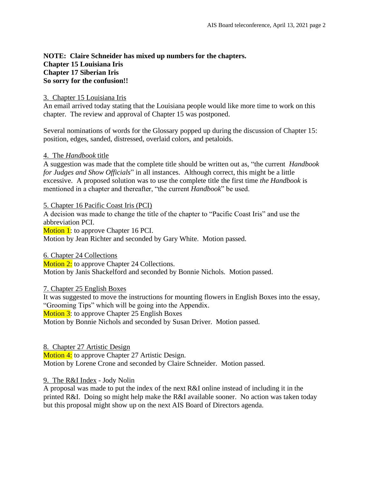# **NOTE: Claire Schneider has mixed up numbers for the chapters. Chapter 15 Louisiana Iris Chapter 17 Siberian Iris So sorry for the confusion!!**

# 3. Chapter 15 Louisiana Iris

An email arrived today stating that the Louisiana people would like more time to work on this chapter. The review and approval of Chapter 15 was postponed.

Several nominations of words for the Glossary popped up during the discussion of Chapter 15: position, edges, sanded, distressed, overlaid colors, and petaloids.

## 4. The *Handbook* title

A suggestion was made that the complete title should be written out as, "the current *Handbook for Judges and Show Officials*" in all instances. Although correct, this might be a little excessive. A proposed solution was to use the complete title the first time *the Handbook* is mentioned in a chapter and thereafter, "the current *Handbook*" be used.

5. Chapter 16 Pacific Coast Iris (PCI)

A decision was made to change the title of the chapter to "Pacific Coast Iris" and use the abbreviation PCI.

Motion 1: to approve Chapter 16 PCI.

Motion by Jean Richter and seconded by Gary White. Motion passed.

6. Chapter 24 Collections

**Motion 2:** to approve Chapter 24 Collections. Motion by Janis Shackelford and seconded by Bonnie Nichols. Motion passed.

7. Chapter 25 English Boxes

It was suggested to move the instructions for mounting flowers in English Boxes into the essay, "Grooming Tips" which will be going into the Appendix. **Motion 3:** to approve Chapter 25 English Boxes Motion by Bonnie Nichols and seconded by Susan Driver. Motion passed.

8. Chapter 27 Artistic Design

Motion 4: to approve Chapter 27 Artistic Design.

Motion by Lorene Crone and seconded by Claire Schneider. Motion passed.

## 9. The R&I Index - Jody Nolin

A proposal was made to put the index of the next R&I online instead of including it in the printed R&I. Doing so might help make the R&I available sooner. No action was taken today but this proposal might show up on the next AIS Board of Directors agenda.